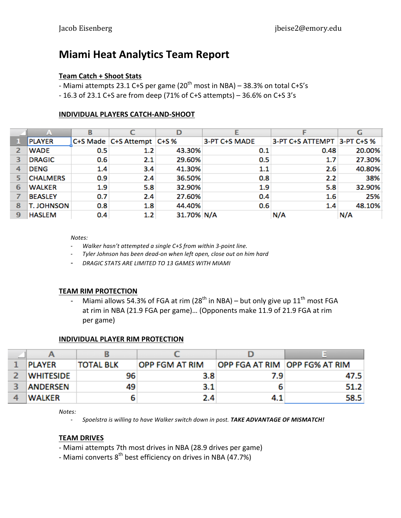# **Miami Heat Analytics Team Report**

#### **Team Catch + Shoot Stats**

- Miami attempts 23.1 C+S per game (20<sup>th</sup> most in NBA) – 38.3% on total C+S's

 $-16.3$  of 23.1 C+S are from deep (71% of C+S attempts) – 36.6% on C+S 3's

#### **INDIVIDUAL PLAYERS CATCH-AND-SHOOT**

|   | A                 |     |                            | D          |               |                             | G      |
|---|-------------------|-----|----------------------------|------------|---------------|-----------------------------|--------|
|   | <b>PLAYER</b>     |     | C+S Made C+S Attempt C+S % |            | 3-PT C+S MADE | 3-PT C+S ATTEMPT 3-PT C+S % |        |
|   | <b>WADE</b>       | 0.5 | 1.2                        | 43.30%     | 0.1           | 0.48                        | 20.00% |
| з | <b>DRAGIC</b>     | 0.6 | 2.1                        | 29.60%     | 0.5           | 1.7                         | 27.30% |
| 4 | <b>DENG</b>       | 1.4 | 3.4                        | 41.30%     | 1.1           | 2.6                         | 40.80% |
|   | <b>CHALMERS</b>   | 0.9 | 2.4                        | 36.50%     | 0.8           | 2.2                         | 38%    |
| 6 | <b>WALKER</b>     | 1.9 | 5.8                        | 32.90%     | 1.9           | 5.8                         | 32.90% |
|   | <b>BEASLEY</b>    | 0.7 | 2.4                        | 27.60%     | 0.4           | 1.6                         | 25%    |
| 8 | <b>T. JOHNSON</b> | 0.8 | 1.8                        | 44.40%     | 0.6           | 1.4                         | 48.10% |
| 9 | <b>HASLEM</b>     | 0.4 | 1.2                        | 31.70% N/A |               | N/A                         | N/A    |

*Notes:*

- 6 *Walker'hasn't'attempted'a'single'C+S'from'within'3;point'line.'*
- 6 *Tyler'Johnson'has'been'dead;on'when'left'open,'close'out'on'him'hard*
- 6 *DRAGIC'STATS'ARE'LIMITED'TO 13 GAMES'WITH'MIAMI*

#### **TEAM%RIM%PROTECTION**

6 Miami allows 54.3% of FGA at rim (28<sup>th</sup> in NBA) – but only give up 11<sup>th</sup> most FGA at rim in NBA (21.9 FGA per game)... (Opponents make 11.9 of 21.9 FGA at rim per game)

#### **INDIVIDUAL PLAYER RIM PROTECTION**

| <b>PLAYER</b>    | <b>TOTAL BLK</b> | <b>OPP FGM AT RIM</b> | <b>OPP FGA AT RIM OPP FG% AT RIM</b> |      |
|------------------|------------------|-----------------------|--------------------------------------|------|
| <b>WHITESIDE</b> | 96               | 3.8                   | 7.9 <sub>1</sub>                     | 47.5 |
| <b>ANDERSEN</b>  | 49               | 3.1                   |                                      | 51.2 |
| <b>WALKER</b>    | ь                | 2.4                   | 4.1                                  | 58.5 |

*Notes:*

5 *Spoelstra is willing to have Walker switch down in post. TAKE ADVANTAGE OF MISMATCH!* 

#### **TEAM%DRIVES**

- Miami attempts 7th most drives in NBA (28.9 drives per game)
- Miami converts 8<sup>th</sup> best efficiency on drives in NBA (47.7%)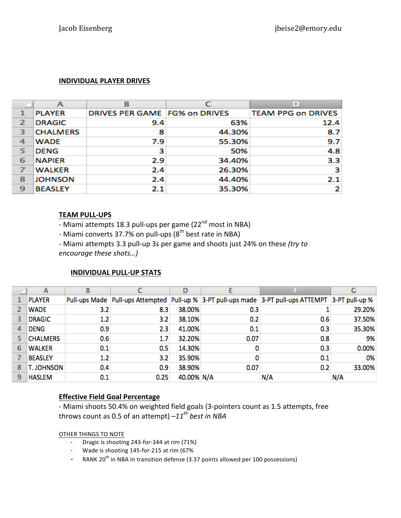## **INDIVIDUAL PLAYER DRIVES**

|                         | А               | в                             |        | D                         |
|-------------------------|-----------------|-------------------------------|--------|---------------------------|
|                         | <b>PLAYER</b>   | DRIVES PER GAME FG% on DRIVES |        | <b>TEAM PPG on DRIVES</b> |
| $\overline{\mathbf{z}}$ | <b>DRAGIC</b>   | 9.4                           | 63%    | 12.4                      |
| з                       | <b>CHALMERS</b> | 8                             | 44.30% | 8.7                       |
| 4                       | <b>WADE</b>     | 7.9                           | 55.30% | 9.7                       |
| 5                       | <b>DENG</b>     | з                             | 50%    | 4.8                       |
| 6                       | <b>NAPIER</b>   | 2.9                           | 34.40% | 3.3                       |
|                         | <b>WALKER</b>   | 2.4                           | 26.30% | з                         |
| 8                       | <b>JOHNSON</b>  | 2.4                           | 44.40% | 2.1                       |
| 9                       | <b>BEASLEY</b>  | 2.1                           | 35.30% |                           |

### **TEAM PULL-UPS**

- Miami attempts 18.3 pull-ups per game (22<sup>nd</sup> most in NBA)

- Miami converts 37.7% on pull-ups  $(8<sup>th</sup>$  best rate in NBA)

- Miami attempts 3.3 pull-up 3s per game and shoots just 24% on these *(try to encourage these shots...)* 

# **INDIVIDUAL PULL-UP STATS**

|   | A                 |     |      | D          |      |                                                                                                              | G      |
|---|-------------------|-----|------|------------|------|--------------------------------------------------------------------------------------------------------------|--------|
|   | <b>PLAYER</b>     |     |      |            |      | Pull-ups Made   Pull-ups Attempted   Pull-up %   3-PT pull-ups made   3-PT pull-ups ATTEMPT   3-PT pull-up % |        |
| 2 | <b>WADE</b>       | 3.2 | 8.3  | 38.00%     | 0.3  |                                                                                                              | 29.20% |
| 3 | <b>DRAGIC</b>     | 1.2 | 3.2  | 38.10%     | 0.2  | 0.6                                                                                                          | 37.50% |
| 4 | <b>DENG</b>       | 0.9 | 2.3  | 41.00%     | 0.1  | 0.3                                                                                                          | 35.30% |
|   | <b>CHALMERS</b>   | 0.6 | 1.7  | 32.20%     | 0.07 | 0.8                                                                                                          | 9%     |
| 6 | <b>WALKER</b>     | 0.1 | 0.5  | 14.30%     | 0    | 0.3                                                                                                          | 0.00%  |
|   | <b>BEASLEY</b>    | 1.2 | 3.2  | 35.90%     |      | 0.1                                                                                                          | 0%     |
| 8 | <b>T. JOHNSON</b> | 0.4 | 0.9  | 38.90%     | 0.07 | 0.2                                                                                                          | 33.00% |
| 9 | <b>HASLEM</b>     | 0.1 | 0.25 | 40.00% N/A |      | N/A                                                                                                          | N/A    |

# **Effective Field Goal Percentage**

- Miami shoots 50.4% on weighted field goals (3-pointers count as 1.5 attempts, free throws count as 0.5 of an attempt)  $-11^{th}$  *best in NBA* 

OTHER THINGS TO NOTE

- Dragic is shooting 243-for-344 at rim (71%)
- Wade is shooting 145-for-215 at rim (67%
- RANK 20<sup>th</sup> in NBA in transition defense (3.37 points allowed per 100 possessions)